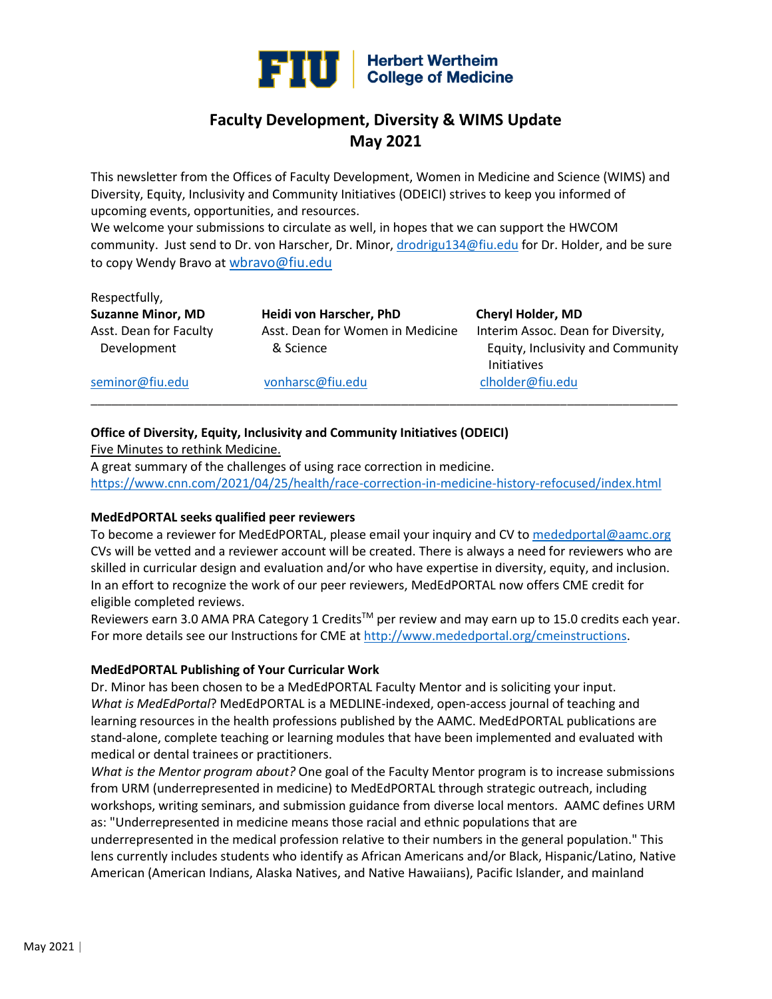

## **Faculty Development, Diversity & WIMS Update May 2021**

This newsletter from the Offices of Faculty Development, Women in Medicine and Science (WIMS) and Diversity, Equity, Inclusivity and Community Initiatives (ODEICI) strives to keep you informed of upcoming events, opportunities, and resources.

We welcome your submissions to circulate as well, in hopes that we can support the HWCOM community. Just send to Dr. von Harscher, Dr. Minor[, drodrigu134@fiu.edu](mailto:drodrigu134@fiu.edu) for Dr. Holder, and be sure to copy Wendy Bravo at [wbravo@fiu.edu](mailto:wbravo@fiu.edu)

# Respectfully,

**Suzanne Minor, MD Heidi von Harscher, PhD Cheryl Holder, MD** Asst. Dean for Faculty Asst. Dean for Women in Medicine Interim Assoc. Dean for Diversity, Development & Science Equity, Inclusivity and Community

Initiatives

#### [seminor@fiu.edu](mailto:seminor@fiu.edu) [vonharsc@fiu.edu](mailto:vonharsc@fiu.edu) [clholder@fiu.edu](mailto:clholder@fiu.edu)

## **Office of Diversity, Equity, Inclusivity and Community Initiatives (ODEICI)**

Five Minutes to rethink Medicine.

A great summary of the challenges of using race correction in medicine. <https://www.cnn.com/2021/04/25/health/race-correction-in-medicine-history-refocused/index.html>

\_\_\_\_\_\_\_\_\_\_\_\_\_\_\_\_\_\_\_\_\_\_\_\_\_\_\_\_\_\_\_\_\_\_\_\_\_\_\_\_\_\_\_\_\_\_\_\_\_\_\_\_\_\_\_\_\_\_\_\_\_\_\_\_\_\_\_\_\_\_\_\_\_\_\_\_\_\_\_\_\_\_\_\_\_

## **MedEdPORTAL seeks qualified peer reviewers**

To become a reviewer for MedEdPORTAL, please email your inquiry and CV t[o mededportal@aamc.org](mailto:mededportal@aamc.org) CVs will be vetted and a reviewer account will be created. There is always a need for reviewers who are skilled in curricular design and evaluation and/or who have expertise in diversity, equity, and inclusion. In an effort to recognize the work of our peer reviewers, MedEdPORTAL now offers CME credit for eligible completed reviews.

Reviewers earn 3.0 AMA PRA Category 1 Credits™ per review and may earn up to 15.0 credits each year. For more details see our Instructions for CME a[t http://www.mededportal.org/cmeinstructions.](https://urldefense.com/v3/__http:/www.mededportal.org/cmeinstructions__;!!FjuHKAHQs5udqho!dmAV8QRZcaiXSnVjocEvkug0LKY-C-Rqbkx0I8h1GAUZZ18GsQFy5rw8zik8fg$)

## **MedEdPORTAL Publishing of Your Curricular Work**

Dr. Minor has been chosen to be a MedEdPORTAL Faculty Mentor and is soliciting your input. *What is MedEdPortal*? MedEdPORTAL is a MEDLINE-indexed, open-access journal of teaching and learning resources in the health professions published by the AAMC. MedEdPORTAL publications are stand-alone, complete teaching or learning modules that have been implemented and evaluated with medical or dental trainees or practitioners.

*What is the Mentor program about?* One goal of the Faculty Mentor program is to increase submissions from URM (underrepresented in medicine) to MedEdPORTAL through strategic outreach, including workshops, writing seminars, and submission guidance from diverse local mentors. AAMC defines URM as: "Underrepresented in medicine means those racial and ethnic populations that are underrepresented in the medical profession relative to their numbers in the general population." This lens currently includes students who identify as African Americans and/or Black, Hispanic/Latino, Native American (American Indians, Alaska Natives, and Native Hawaiians), Pacific Islander, and mainland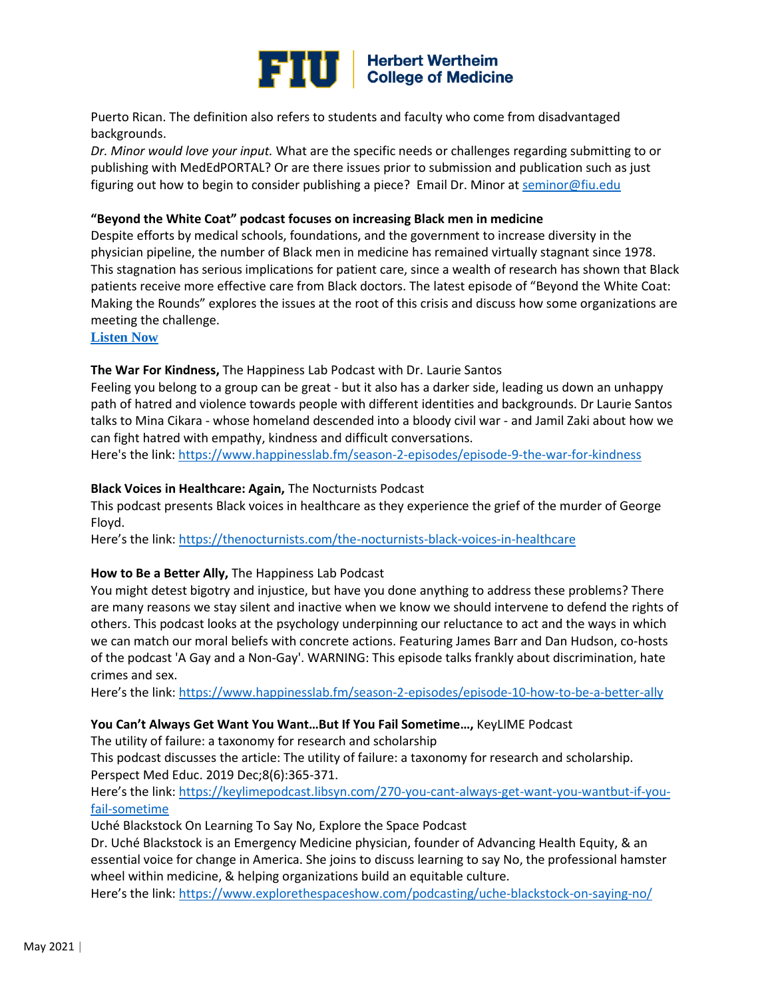

Puerto Rican. The definition also refers to students and faculty who come from disadvantaged backgrounds.

*Dr. Minor would love your input.* What are the specific needs or challenges regarding submitting to or publishing with MedEdPORTAL? Or are there issues prior to submission and publication such as just figuring out how to begin to consider publishing a piece? Email Dr. Minor at [seminor@fiu.edu](mailto:seminor@fiu.edu)

#### **"Beyond the White Coat" podcast focuses on increasing Black men in medicine**

Despite efforts by medical schools, foundations, and the government to increase diversity in the physician pipeline, the number of Black men in medicine has remained virtually stagnant since 1978. This stagnation has serious implications for patient care, since a wealth of research has shown that Black patients receive more effective care from Black doctors. The latest episode of "Beyond the White Coat: Making the Rounds" explores the issues at the root of this crisis and discuss how some organizations are meeting the challenge.

**[Listen Now](https://urldefense.com/v3/__https:/www.aamc.org/news-insights/podcast-black-men-medicine-meeting-challenge__;!!FjuHKAHQs5udqho!dFktTX1Vmq6Wgh1e9QkgCq2-Q6BX69L-qFGioPYpcye8vsflDRb6DjqhGvUwlA$)**

#### **The War For Kindness,** The Happiness Lab Podcast with Dr. Laurie Santos

Feeling you belong to a group can be great - but it also has a darker side, leading us down an unhappy path of hatred and violence towards people with different identities and backgrounds. Dr Laurie Santos talks to Mina Cikara - whose homeland descended into a bloody civil war - and Jamil Zaki about how we can fight hatred with empathy, kindness and difficult conversations.

Here's the link[: https://www.happinesslab.fm/season-2-episodes/episode-9-the-war-for-kindness](https://www.happinesslab.fm/season-2-episodes/episode-9-the-war-for-kindness)

#### **Black Voices in Healthcare: Again,** The Nocturnists Podcast

This podcast presents Black voices in healthcare as they experience the grief of the murder of George Floyd.

Here's the link: <https://thenocturnists.com/the-nocturnists-black-voices-in-healthcare>

#### **How to Be a Better Ally,** The Happiness Lab Podcast

You might detest bigotry and injustice, but have you done anything to address these problems? There are many reasons we stay silent and inactive when we know we should intervene to defend the rights of others. This podcast looks at the psychology underpinning our reluctance to act and the ways in which we can match our moral beliefs with concrete actions. Featuring James Barr and Dan Hudson, co-hosts of the podcast 'A Gay and a Non-Gay'. WARNING: This episode talks frankly about discrimination, hate crimes and sex.

Here's the link:<https://www.happinesslab.fm/season-2-episodes/episode-10-how-to-be-a-better-ally>

#### **You Can't Always Get Want You Want…But If You Fail Sometime…,** KeyLIME Podcast

The utility of failure: a taxonomy for research and scholarship

This podcast discusses the article: The utility of failure: a taxonomy for research and scholarship. Perspect Med Educ. 2019 Dec;8(6):365-371.

Here's the link: [https://keylimepodcast.libsyn.com/270-you-cant-always-get-want-you-wantbut-if-you](https://keylimepodcast.libsyn.com/270-you-cant-always-get-want-you-wantbut-if-you-fail-sometime)[fail-sometime](https://keylimepodcast.libsyn.com/270-you-cant-always-get-want-you-wantbut-if-you-fail-sometime)

Uché Blackstock On Learning To Say No, Explore the Space Podcast

Dr. Uché Blackstock is an Emergency Medicine physician, founder of Advancing Health Equity, & an essential voice for change in America. She joins to discuss learning to say No, the professional hamster wheel within medicine, & helping organizations build an equitable culture.

Here's the link: <https://www.explorethespaceshow.com/podcasting/uche-blackstock-on-saying-no/>